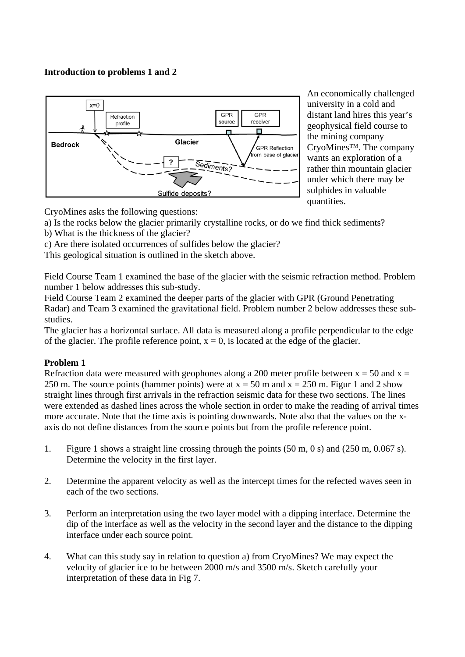## **Introduction to problems 1 and 2**



An economically challenged university in a cold and distant land hires this year's geophysical field course to the mining company CryoMines™. The company wants an exploration of a rather thin mountain glacier under which there may be sulphides in valuable quantities.

CryoMines asks the following questions:

- a) Is the rocks below the glacier primarily crystalline rocks, or do we find thick sediments?
- b) What is the thickness of the glacier?
- c) Are there isolated occurrences of sulfides below the glacier?

This geological situation is outlined in the sketch above.

Field Course Team 1 examined the base of the glacier with the seismic refraction method. Problem number 1 below addresses this sub-study.

Field Course Team 2 examined the deeper parts of the glacier with GPR (Ground Penetrating Radar) and Team 3 examined the gravitational field. Problem number 2 below addresses these substudies.

The glacier has a horizontal surface. All data is measured along a profile perpendicular to the edge of the glacier. The profile reference point,  $x = 0$ , is located at the edge of the glacier.

## **Problem 1**

Refraction data were measured with geophones along a 200 meter profile between  $x = 50$  and  $x =$ 250 m. The source points (hammer points) were at  $x = 50$  m and  $x = 250$  m. Figur 1 and 2 show straight lines through first arrivals in the refraction seismic data for these two sections. The lines were extended as dashed lines across the whole section in order to make the reading of arrival times more accurate. Note that the time axis is pointing downwards. Note also that the values on the xaxis do not define distances from the source points but from the profile reference point.

- 1. Figure 1 shows a straight line crossing through the points (50 m, 0 s) and (250 m, 0.067 s). Determine the velocity in the first layer.
- 2. Determine the apparent velocity as well as the intercept times for the refected waves seen in each of the two sections.
- 3. Perform an interpretation using the two layer model with a dipping interface. Determine the dip of the interface as well as the velocity in the second layer and the distance to the dipping interface under each source point.
- 4. What can this study say in relation to question a) from CryoMines? We may expect the velocity of glacier ice to be between 2000 m/s and 3500 m/s. Sketch carefully your interpretation of these data in Fig 7.